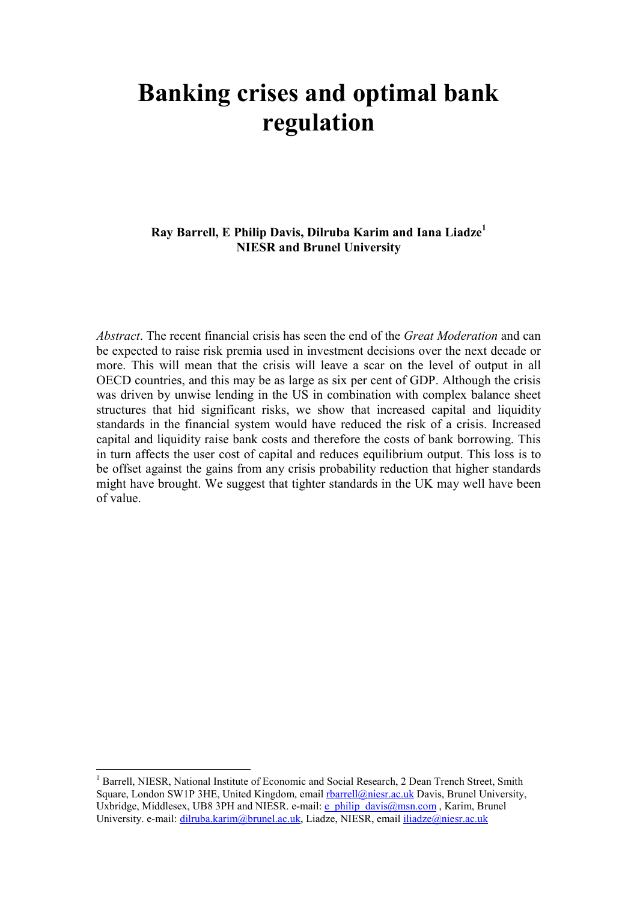# Banking crises and optimal bank regulation

Ray Barrell, E Philip Davis, Dilruba Karim and Iana Liadze<sup>1</sup> NIESR and Brunel University

Abstract. The recent financial crisis has seen the end of the *Great Moderation* and can be expected to raise risk premia used in investment decisions over the next decade or more. This will mean that the crisis will leave a scar on the level of output in all OECD countries, and this may be as large as six per cent of GDP. Although the crisis was driven by unwise lending in the US in combination with complex balance sheet structures that hid significant risks, we show that increased capital and liquidity standards in the financial system would have reduced the risk of a crisis. Increased capital and liquidity raise bank costs and therefore the costs of bank borrowing. This in turn affects the user cost of capital and reduces equilibrium output. This loss is to be offset against the gains from any crisis probability reduction that higher standards might have brought. We suggest that tighter standards in the UK may well have been of value.

 $\overline{a}$ 

<sup>1</sup> Barrell, NIESR, National Institute of Economic and Social Research, 2 Dean Trench Street, Smith Square, London SW1P 3HE, United Kingdom, email rbarrell@niesr.ac.uk Davis, Brunel University, Uxbridge, Middlesex, UB8 3PH and NIESR. e-mail:  $\overline{e}$  philip davis@msn.com , Karim, Brunel University. e-mail: dilruba.karim@brunel.ac.uk, Liadze, NIESR, email iliadze@niesr.ac.uk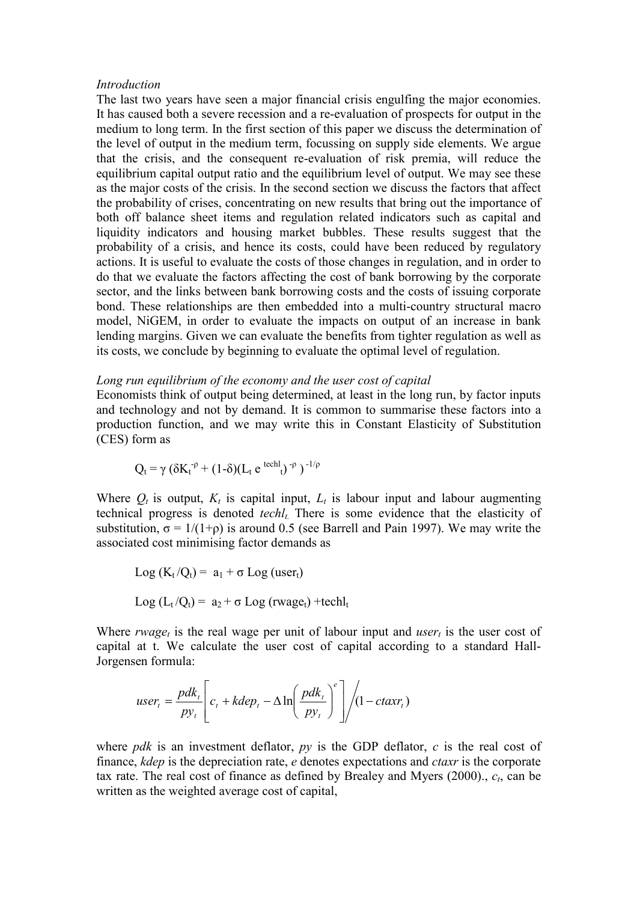#### Introduction

The last two years have seen a major financial crisis engulfing the major economies. It has caused both a severe recession and a re-evaluation of prospects for output in the medium to long term. In the first section of this paper we discuss the determination of the level of output in the medium term, focussing on supply side elements. We argue that the crisis, and the consequent re-evaluation of risk premia, will reduce the equilibrium capital output ratio and the equilibrium level of output. We may see these as the major costs of the crisis. In the second section we discuss the factors that affect the probability of crises, concentrating on new results that bring out the importance of both off balance sheet items and regulation related indicators such as capital and liquidity indicators and housing market bubbles. These results suggest that the probability of a crisis, and hence its costs, could have been reduced by regulatory actions. It is useful to evaluate the costs of those changes in regulation, and in order to do that we evaluate the factors affecting the cost of bank borrowing by the corporate sector, and the links between bank borrowing costs and the costs of issuing corporate bond. These relationships are then embedded into a multi-country structural macro model, NiGEM, in order to evaluate the impacts on output of an increase in bank lending margins. Given we can evaluate the benefits from tighter regulation as well as its costs, we conclude by beginning to evaluate the optimal level of regulation.

## Long run equilibrium of the economy and the user cost of capital

Economists think of output being determined, at least in the long run, by factor inputs and technology and not by demand. It is common to summarise these factors into a production function, and we may write this in Constant Elasticity of Substitution (CES) form as

$$
Q_t = \gamma (\delta K_t^{-\rho} + (1-\delta)(L_t e^{techl})^{-\rho})^{-1/\rho}
$$

Where  $Q_t$  is output,  $K_t$  is capital input,  $L_t$  is labour input and labour augmenting technical progress is denoted techl<sub>t</sub>. There is some evidence that the elasticity of substitution,  $\sigma = 1/(1+\rho)$  is around 0.5 (see Barrell and Pain 1997). We may write the associated cost minimising factor demands as

$$
Log (K_t/Q_t) = a_1 + \sigma Log (user_t)
$$
  

$$
Log (L_t/Q_t) = a_2 + \sigma Log (r wage_t) + techl_t
$$

Where rwage<sub>t</sub> is the real wage per unit of labour input and user<sub>t</sub> is the user cost of capital at t. We calculate the user cost of capital according to a standard Hall-Jorgensen formula:

$$
user_{t} = \frac{pdk_{t}}{py_{t}} \left[ c_{t} + kdep_{t} - \Delta \ln \left( \frac{pdk_{t}}{py_{t}} \right)^{e} \right] / (1 - ctaxr_{t})
$$

where *pdk* is an investment deflator,  $py$  is the GDP deflator,  $c$  is the real cost of finance, *kdep* is the depreciation rate, *e* denotes expectations and *ctaxr* is the corporate tax rate. The real cost of finance as defined by Brealey and Myers  $(2000)$ .,  $c_t$ , can be written as the weighted average cost of capital,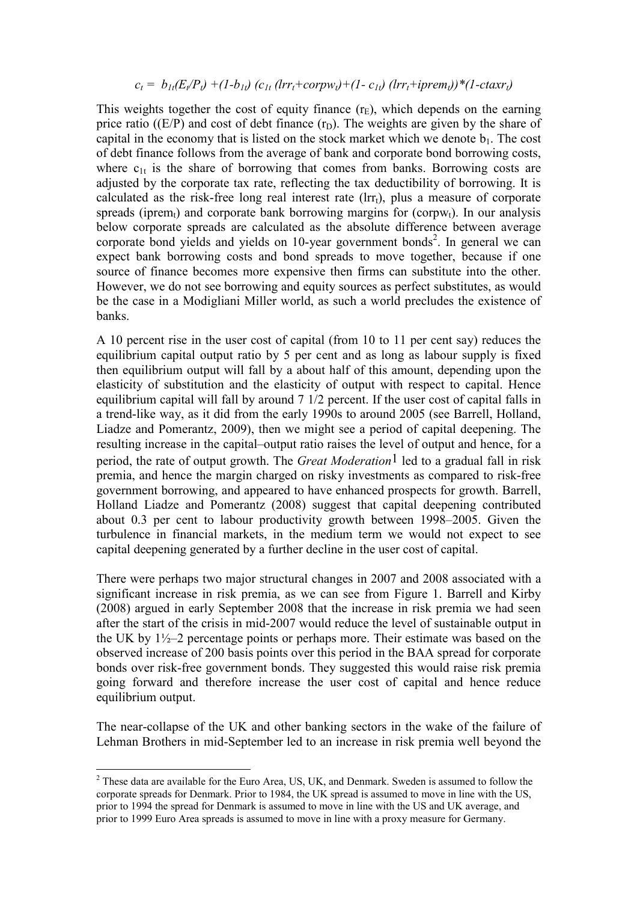# $c_t = b_{1t}(E_t/P_t) + (1-b_{1t}) (c_{1t} (lrr_t + corr_V) + (1-c_{1t}) (lrr_t + iprem_t)) * (1-ctaxr_t)$

This weights together the cost of equity finance  $(r_E)$ , which depends on the earning price ratio ( $(E/P)$ ) and cost of debt finance  $(r_D)$ . The weights are given by the share of capital in the economy that is listed on the stock market which we denote  $b_1$ . The cost of debt finance follows from the average of bank and corporate bond borrowing costs, where  $c_{1t}$  is the share of borrowing that comes from banks. Borrowing costs are adjusted by the corporate tax rate, reflecting the tax deductibility of borrowing. It is calculated as the risk-free long real interest rate  $(\text{Irr}_t)$ , plus a measure of corporate spreads (iprem<sub>t</sub>) and corporate bank borrowing margins for (corpw<sub>t</sub>). In our analysis below corporate spreads are calculated as the absolute difference between average corporate bond yields and yields on  $10$ -year government bonds<sup>2</sup>. In general we can expect bank borrowing costs and bond spreads to move together, because if one source of finance becomes more expensive then firms can substitute into the other. However, we do not see borrowing and equity sources as perfect substitutes, as would be the case in a Modigliani Miller world, as such a world precludes the existence of banks.

A 10 percent rise in the user cost of capital (from 10 to 11 per cent say) reduces the equilibrium capital output ratio by 5 per cent and as long as labour supply is fixed then equilibrium output will fall by a about half of this amount, depending upon the elasticity of substitution and the elasticity of output with respect to capital. Hence equilibrium capital will fall by around 7 1/2 percent. If the user cost of capital falls in a trend-like way, as it did from the early 1990s to around 2005 (see Barrell, Holland, Liadze and Pomerantz, 2009), then we might see a period of capital deepening. The resulting increase in the capital–output ratio raises the level of output and hence, for a period, the rate of output growth. The *Great Moderation*<sup>1</sup> led to a gradual fall in risk premia, and hence the margin charged on risky investments as compared to risk-free government borrowing, and appeared to have enhanced prospects for growth. Barrell, Holland Liadze and Pomerantz (2008) suggest that capital deepening contributed about 0.3 per cent to labour productivity growth between 1998–2005. Given the turbulence in financial markets, in the medium term we would not expect to see capital deepening generated by a further decline in the user cost of capital.

There were perhaps two major structural changes in 2007 and 2008 associated with a significant increase in risk premia, as we can see from Figure 1. Barrell and Kirby (2008) argued in early September 2008 that the increase in risk premia we had seen after the start of the crisis in mid-2007 would reduce the level of sustainable output in the UK by 1½–2 percentage points or perhaps more. Their estimate was based on the observed increase of 200 basis points over this period in the BAA spread for corporate bonds over risk-free government bonds. They suggested this would raise risk premia going forward and therefore increase the user cost of capital and hence reduce equilibrium output.

The near-collapse of the UK and other banking sectors in the wake of the failure of Lehman Brothers in mid-September led to an increase in risk premia well beyond the

<sup>&</sup>lt;sup>2</sup> These data are available for the Euro Area, US, UK, and Denmark. Sweden is assumed to follow the corporate spreads for Denmark. Prior to 1984, the UK spread is assumed to move in line with the US, prior to 1994 the spread for Denmark is assumed to move in line with the US and UK average, and prior to 1999 Euro Area spreads is assumed to move in line with a proxy measure for Germany.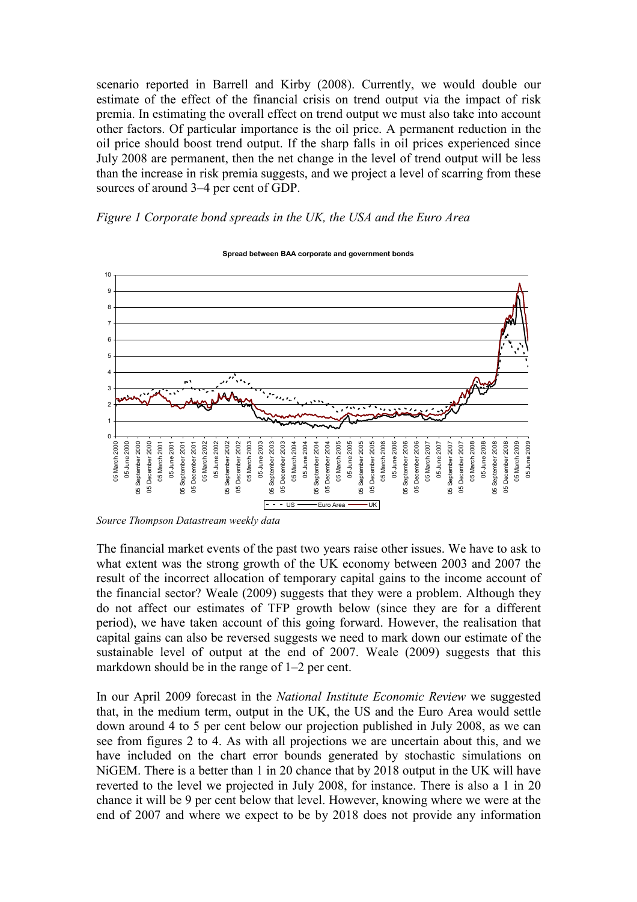scenario reported in Barrell and Kirby (2008). Currently, we would double our estimate of the effect of the financial crisis on trend output via the impact of risk premia. In estimating the overall effect on trend output we must also take into account other factors. Of particular importance is the oil price. A permanent reduction in the oil price should boost trend output. If the sharp falls in oil prices experienced since July 2008 are permanent, then the net change in the level of trend output will be less than the increase in risk premia suggests, and we project a level of scarring from these sources of around 3–4 per cent of GDP.

Figure 1 Corporate bond spreads in the UK, the USA and the Euro Area



Spread between BAA corporate and government bonds

The financial market events of the past two years raise other issues. We have to ask to what extent was the strong growth of the UK economy between 2003 and 2007 the result of the incorrect allocation of temporary capital gains to the income account of the financial sector? Weale (2009) suggests that they were a problem. Although they do not affect our estimates of TFP growth below (since they are for a different period), we have taken account of this going forward. However, the realisation that capital gains can also be reversed suggests we need to mark down our estimate of the sustainable level of output at the end of 2007. Weale (2009) suggests that this markdown should be in the range of 1–2 per cent.

In our April 2009 forecast in the National Institute Economic Review we suggested that, in the medium term, output in the UK, the US and the Euro Area would settle down around 4 to 5 per cent below our projection published in July 2008, as we can see from figures 2 to 4. As with all projections we are uncertain about this, and we have included on the chart error bounds generated by stochastic simulations on NiGEM. There is a better than 1 in 20 chance that by 2018 output in the UK will have reverted to the level we projected in July 2008, for instance. There is also a 1 in 20 chance it will be 9 per cent below that level. However, knowing where we were at the end of 2007 and where we expect to be by 2018 does not provide any information

Source Thompson Datastream weekly data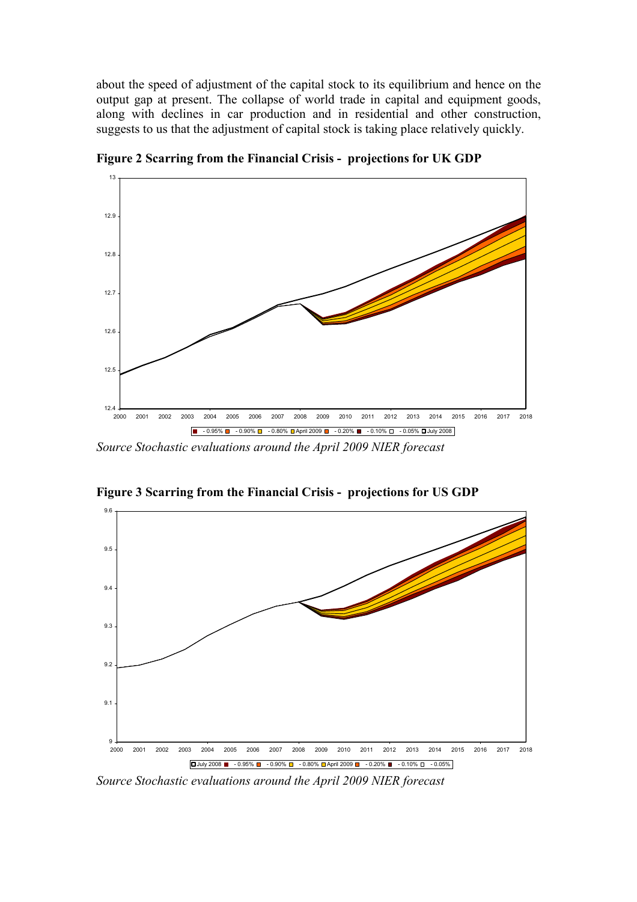about the speed of adjustment of the capital stock to its equilibrium and hence on the output gap at present. The collapse of world trade in capital and equipment goods, along with declines in car production and in residential and other construction, suggests to us that the adjustment of capital stock is taking place relatively quickly.



Figure 2 Scarring from the Financial Crisis - projections for UK GDP

Source Stochastic evaluations around the April 2009 NIER forecast



Figure 3 Scarring from the Financial Crisis - projections for US GDP

Source Stochastic evaluations around the April 2009 NIER forecast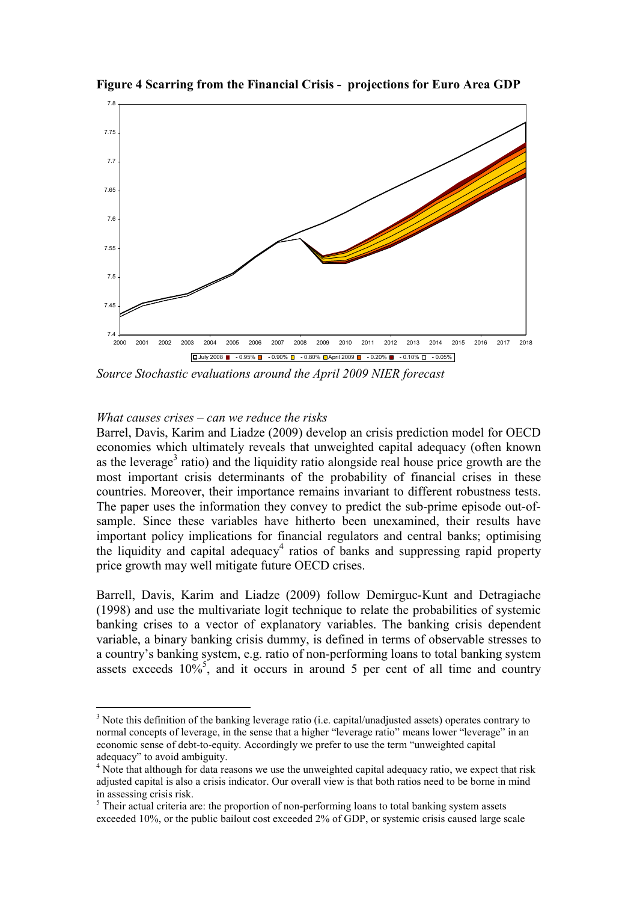

Figure 4 Scarring from the Financial Crisis - projections for Euro Area GDP

Source Stochastic evaluations around the April 2009 NIER forecast

### What causes crises  $-\text{can}$  we reduce the risks

 $\overline{a}$ 

Barrel, Davis, Karim and Liadze (2009) develop an crisis prediction model for OECD economies which ultimately reveals that unweighted capital adequacy (often known as the leverage<sup>3</sup> ratio) and the liquidity ratio alongside real house price growth are the most important crisis determinants of the probability of financial crises in these countries. Moreover, their importance remains invariant to different robustness tests. The paper uses the information they convey to predict the sub-prime episode out-ofsample. Since these variables have hitherto been unexamined, their results have important policy implications for financial regulators and central banks; optimising the liquidity and capital adequacy<sup>4</sup> ratios of banks and suppressing rapid property price growth may well mitigate future OECD crises.

Barrell, Davis, Karim and Liadze (2009) follow Demirguc-Kunt and Detragiache (1998) and use the multivariate logit technique to relate the probabilities of systemic banking crises to a vector of explanatory variables. The banking crisis dependent variable, a binary banking crisis dummy, is defined in terms of observable stresses to a country's banking system, e.g. ratio of non-performing loans to total banking system assets exceeds  $10\%$ <sup>5</sup>, and it occurs in around 5 per cent of all time and country

 $3$  Note this definition of the banking leverage ratio (i.e. capital/unadjusted assets) operates contrary to normal concepts of leverage, in the sense that a higher "leverage ratio" means lower "leverage" in an economic sense of debt-to-equity. Accordingly we prefer to use the term "unweighted capital adequacy" to avoid ambiguity.

<sup>&</sup>lt;sup>4</sup> Note that although for data reasons we use the unweighted capital adequacy ratio, we expect that risk adjusted capital is also a crisis indicator. Our overall view is that both ratios need to be borne in mind in assessing crisis risk.

<sup>&</sup>lt;sup>5</sup> Their actual criteria are: the proportion of non-performing loans to total banking system assets exceeded 10%, or the public bailout cost exceeded 2% of GDP, or systemic crisis caused large scale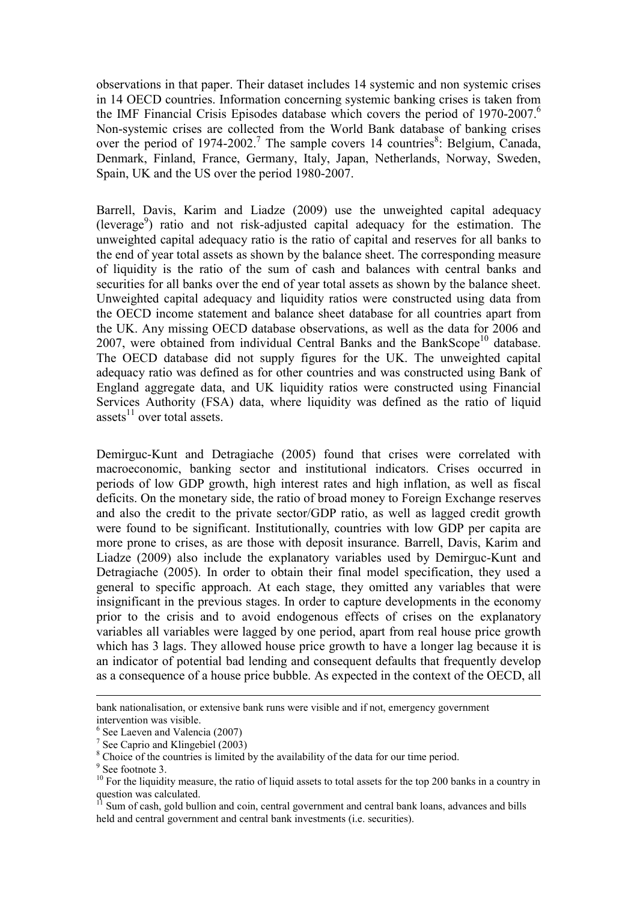observations in that paper. Their dataset includes 14 systemic and non systemic crises in 14 OECD countries. Information concerning systemic banking crises is taken from the IMF Financial Crisis Episodes database which covers the period of 1970-2007.<sup>6</sup> Non-systemic crises are collected from the World Bank database of banking crises over the period of 1974-2002.<sup>7</sup> The sample covers 14 countries<sup>8</sup>: Belgium, Canada, Denmark, Finland, France, Germany, Italy, Japan, Netherlands, Norway, Sweden, Spain, UK and the US over the period 1980-2007.

Barrell, Davis, Karim and Liadze (2009) use the unweighted capital adequacy (leverage<sup>9</sup>) ratio and not risk-adjusted capital adequacy for the estimation. The unweighted capital adequacy ratio is the ratio of capital and reserves for all banks to the end of year total assets as shown by the balance sheet. The corresponding measure of liquidity is the ratio of the sum of cash and balances with central banks and securities for all banks over the end of year total assets as shown by the balance sheet. Unweighted capital adequacy and liquidity ratios were constructed using data from the OECD income statement and balance sheet database for all countries apart from the UK. Any missing OECD database observations, as well as the data for 2006 and 2007, were obtained from individual Central Banks and the BankScope<sup>10</sup> database. The OECD database did not supply figures for the UK. The unweighted capital adequacy ratio was defined as for other countries and was constructed using Bank of England aggregate data, and UK liquidity ratios were constructed using Financial Services Authority (FSA) data, where liquidity was defined as the ratio of liquid assets $^{11}$  over total assets.

Demirguc-Kunt and Detragiache (2005) found that crises were correlated with macroeconomic, banking sector and institutional indicators. Crises occurred in periods of low GDP growth, high interest rates and high inflation, as well as fiscal deficits. On the monetary side, the ratio of broad money to Foreign Exchange reserves and also the credit to the private sector/GDP ratio, as well as lagged credit growth were found to be significant. Institutionally, countries with low GDP per capita are more prone to crises, as are those with deposit insurance. Barrell, Davis, Karim and Liadze (2009) also include the explanatory variables used by Demirguc-Kunt and Detragiache (2005). In order to obtain their final model specification, they used a general to specific approach. At each stage, they omitted any variables that were insignificant in the previous stages. In order to capture developments in the economy prior to the crisis and to avoid endogenous effects of crises on the explanatory variables all variables were lagged by one period, apart from real house price growth which has 3 lags. They allowed house price growth to have a longer lag because it is an indicator of potential bad lending and consequent defaults that frequently develop as a consequence of a house price bubble. As expected in the context of the OECD, all

 $\overline{a}$ 

bank nationalisation, or extensive bank runs were visible and if not, emergency government intervention was visible.

<sup>6</sup> See Laeven and Valencia (2007)

<sup>&</sup>lt;sup>7</sup> See Caprio and Klingebiel (2003)

<sup>&</sup>lt;sup>8</sup> Choice of the countries is limited by the availability of the data for our time period.

<sup>&</sup>lt;sup>9</sup> See footnote 3.

<sup>&</sup>lt;sup>10</sup> For the liquidity measure, the ratio of liquid assets to total assets for the top 200 banks in a country in  $q$ uestion was calculated.

<sup>11</sup> Sum of cash, gold bullion and coin, central government and central bank loans, advances and bills held and central government and central bank investments (i.e. securities).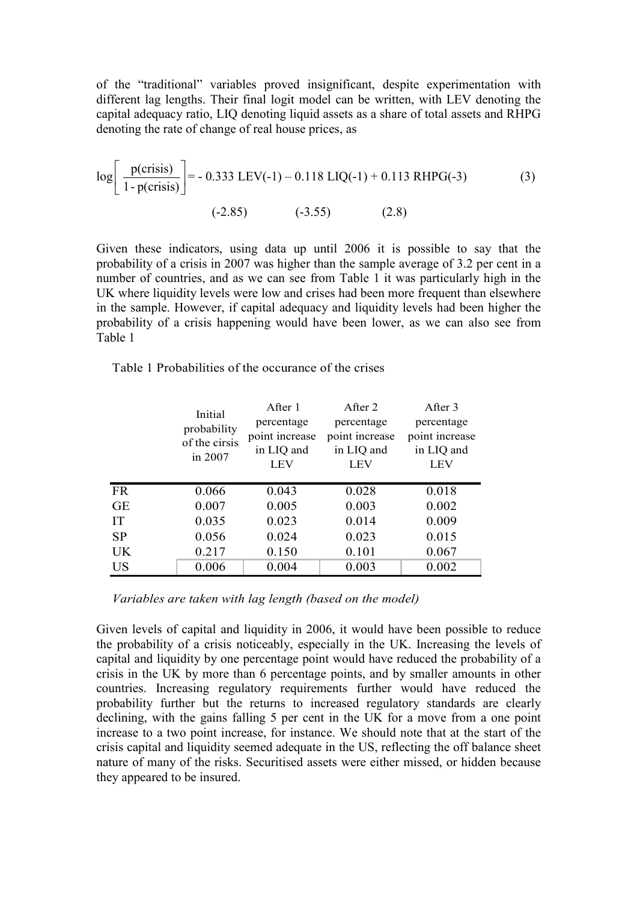of the "traditional" variables proved insignificant, despite experimentation with different lag lengths. Their final logit model can be written, with LEV denoting the capital adequacy ratio, LIQ denoting liquid assets as a share of total assets and RHPG denoting the rate of change of real house prices, as

$$
\log \left[ \frac{p(\text{crisis})}{1 - p(\text{crisis})} \right] = -0.333 \text{ LEV}(-1) - 0.118 \text{ LIQ}(-1) + 0.113 \text{ RHPG}(-3) \tag{3}
$$
\n
$$
(-2.85) \qquad (-3.55) \qquad (2.8)
$$

Given these indicators, using data up until 2006 it is possible to say that the probability of a crisis in 2007 was higher than the sample average of 3.2 per cent in a number of countries, and as we can see from Table 1 it was particularly high in the UK where liquidity levels were low and crises had been more frequent than elsewhere in the sample. However, if capital adequacy and liquidity levels had been higher the probability of a crisis happening would have been lower, as we can also see from Table 1

Table 1 Probabilities of the occurance of the crises

|           | Initial<br>probability<br>of the cirsis<br>in 2007 | After 1        | After 2        | After 3        |
|-----------|----------------------------------------------------|----------------|----------------|----------------|
|           |                                                    | percentage     | percentage     | percentage     |
|           |                                                    | point increase | point increase | point increase |
|           |                                                    | in LIQ and     | in LIQ and     | in LIQ and     |
|           |                                                    | <b>LEV</b>     | <b>LEV</b>     | <b>LEV</b>     |
|           |                                                    |                |                |                |
| <b>FR</b> | 0.066                                              | 0.043          | 0.028          | 0.018          |
| <b>GE</b> | 0.007                                              | 0.005          | 0.003          | 0.002          |
| <b>IT</b> | 0.035                                              | 0.023          | 0.014          | 0.009          |
| <b>SP</b> | 0.056                                              | 0.024          | 0.023          | 0.015          |
| UK        | 0.217                                              | 0.150          | 0.101          | 0.067          |
| <b>US</b> | 0.006                                              | 0.004          | 0.003          | 0.002          |

Variables are taken with lag length (based on the model)

Given levels of capital and liquidity in 2006, it would have been possible to reduce the probability of a crisis noticeably, especially in the UK. Increasing the levels of capital and liquidity by one percentage point would have reduced the probability of a crisis in the UK by more than 6 percentage points, and by smaller amounts in other countries. Increasing regulatory requirements further would have reduced the probability further but the returns to increased regulatory standards are clearly declining, with the gains falling 5 per cent in the UK for a move from a one point increase to a two point increase, for instance. We should note that at the start of the crisis capital and liquidity seemed adequate in the US, reflecting the off balance sheet nature of many of the risks. Securitised assets were either missed, or hidden because they appeared to be insured.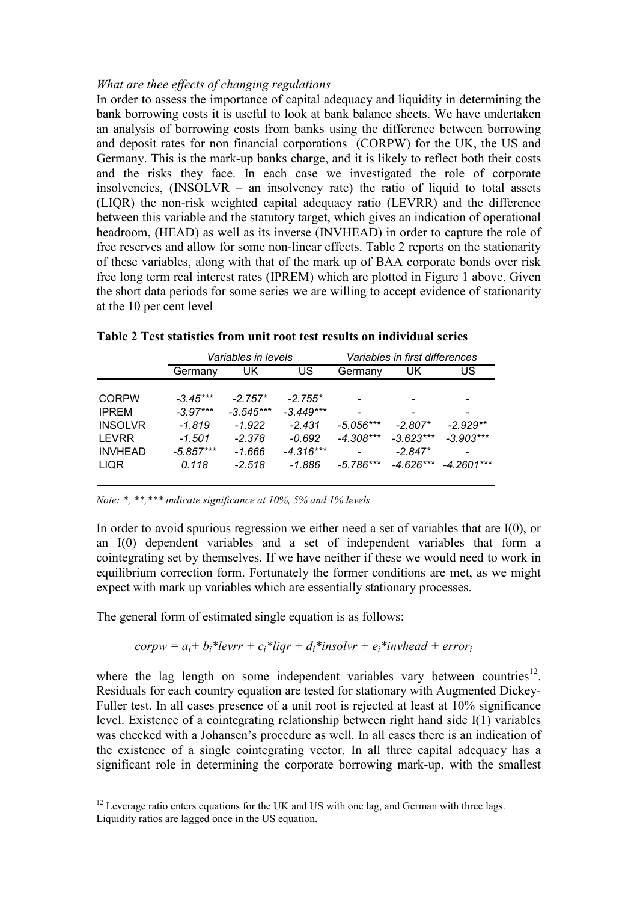## What are thee effects of changing regulations

In order to assess the importance of capital adequacy and liquidity in determining the bank borrowing costs it is useful to look at bank balance sheets. We have undertaken an analysis of borrowing costs from banks using the difference between borrowing and deposit rates for non financial corporations (CORPW) for the UK, the US and Germany. This is the mark-up banks charge, and it is likely to reflect both their costs and the risks they face. In each case we investigated the role of corporate insolvencies, (INSOLVR – an insolvency rate) the ratio of liquid to total assets (LIQR) the non-risk weighted capital adequacy ratio (LEVRR) and the difference between this variable and the statutory target, which gives an indication of operational headroom, (HEAD) as well as its inverse (INVHEAD) in order to capture the role of free reserves and allow for some non-linear effects. Table 2 reports on the stationarity of these variables, along with that of the mark up of BAA corporate bonds over risk free long term real interest rates (IPREM) which are plotted in Figure 1 above. Given the short data periods for some series we are willing to accept evidence of stationarity at the 10 per cent level

|                |             | Variables in levels |             | Variables in first differences |             |              |
|----------------|-------------|---------------------|-------------|--------------------------------|-------------|--------------|
|                | Germany     | UK                  | US          | Germany                        | UK          | US           |
|                |             |                     |             |                                |             |              |
| <b>CORPW</b>   | $-3.45***$  | $-2.757*$           | $-2.755*$   |                                |             |              |
| <b>IPREM</b>   | $-3.97***$  | $-3.545***$         | $-3.449***$ |                                |             |              |
| <b>INSOLVR</b> | $-1.819$    | $-1.922$            | $-2.431$    | $-5.056***$                    | $-2.807*$   | $-2.929**$   |
| <b>LEVRR</b>   | $-1.501$    | $-2.378$            | $-0.692$    | $-4.308***$                    | $-3.623***$ | $-3.903***$  |
| <b>INVHEAD</b> | $-5.857***$ | -1.666              | $-4.316***$ |                                | $-2.847*$   |              |
| <b>LIQR</b>    | 0.118       | $-2.518$            | -1.886      | $-5.786***$                    | $-4.626***$ | $-4.2601***$ |

| Table 2 Test statistics from unit root test results on individual series |  |  |
|--------------------------------------------------------------------------|--|--|
|--------------------------------------------------------------------------|--|--|

Note: \*, \*\*,\*\*\* indicate significance at 10%, 5% and 1% levels

In order to avoid spurious regression we either need a set of variables that are  $I(0)$ , or an I(0) dependent variables and a set of independent variables that form a cointegrating set by themselves. If we have neither if these we would need to work in equilibrium correction form. Fortunately the former conditions are met, as we might expect with mark up variables which are essentially stationary processes.

The general form of estimated single equation is as follows:

$$
corpw = a_i + b_i * levrr + c_i * ligr + d_i * insolvr + e_i * invhead + error_i
$$

where the lag length on some independent variables vary between countries<sup>12</sup>. Residuals for each country equation are tested for stationary with Augmented Dickey-Fuller test. In all cases presence of a unit root is rejected at least at 10% significance level. Existence of a cointegrating relationship between right hand side I(1) variables was checked with a Johansen's procedure as well. In all cases there is an indication of the existence of a single cointegrating vector. In all three capital adequacy has a significant role in determining the corporate borrowing mark-up, with the smallest

 $\overline{a}$  $12$  Leverage ratio enters equations for the UK and US with one lag, and German with three lags. Liquidity ratios are lagged once in the US equation.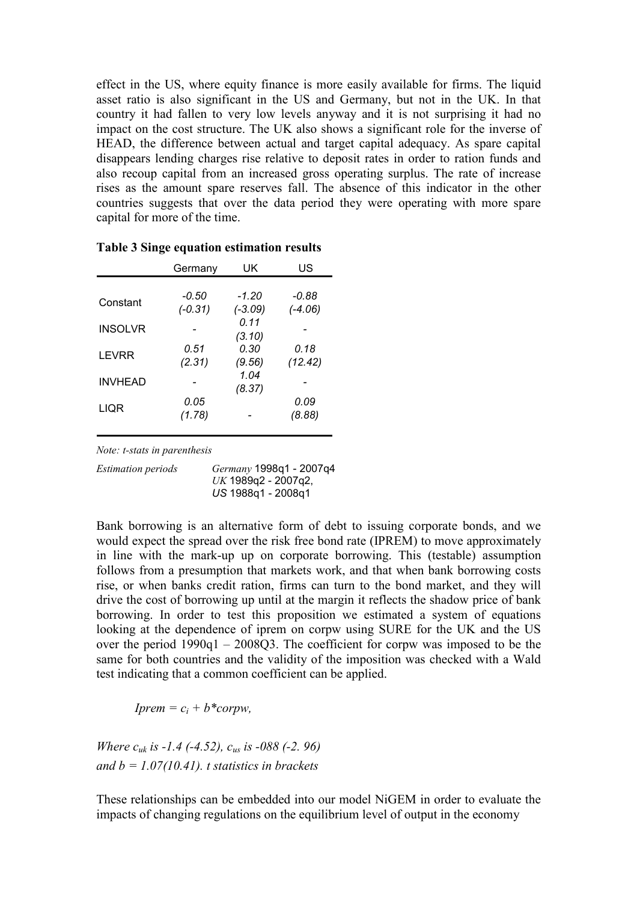effect in the US, where equity finance is more easily available for firms. The liquid asset ratio is also significant in the US and Germany, but not in the UK. In that country it had fallen to very low levels anyway and it is not surprising it had no impact on the cost structure. The UK also shows a significant role for the inverse of HEAD, the difference between actual and target capital adequacy. As spare capital disappears lending charges rise relative to deposit rates in order to ration funds and also recoup capital from an increased gross operating surplus. The rate of increase rises as the amount spare reserves fall. The absence of this indicator in the other countries suggests that over the data period they were operating with more spare capital for more of the time.

|                | Germany            | UK                 | US                   |
|----------------|--------------------|--------------------|----------------------|
|                |                    |                    |                      |
| Constant       | -0.50<br>$(-0.31)$ | -1.20<br>$(-3.09)$ | $-0.88$<br>$(-4.06)$ |
|                |                    | 0.11               |                      |
| <b>INSOLVR</b> |                    | (3.10)             |                      |
| <b>LEVRR</b>   | 0.51               | 0.30               | 0.18                 |
|                | (2.31)             | (9.56)<br>1.04     | (12.42)              |
| <b>INVHEAD</b> |                    | (8.37)             |                      |
| LIQR           | 0.05               |                    | 0.09                 |
|                | (1.78)             |                    | (8.88)               |

Table 3 Singe equation estimation results

Note: t-stats in parenthesis

Estimation periods Germany 1998q1 - 2007q4  $UK$  1989q2 - 2007q2, US 1988q1 - 2008q1

Bank borrowing is an alternative form of debt to issuing corporate bonds, and we would expect the spread over the risk free bond rate (IPREM) to move approximately in line with the mark-up up on corporate borrowing. This (testable) assumption follows from a presumption that markets work, and that when bank borrowing costs rise, or when banks credit ration, firms can turn to the bond market, and they will drive the cost of borrowing up until at the margin it reflects the shadow price of bank borrowing. In order to test this proposition we estimated a system of equations looking at the dependence of iprem on corpw using SURE for the UK and the US over the period 1990q1 – 2008Q3. The coefficient for corpw was imposed to be the same for both countries and the validity of the imposition was checked with a Wald test indicating that a common coefficient can be applied.

 $Iprem = c_i + b * corrw,$ 

Where  $c_{uk}$  is -1.4 (-4.52),  $c_{us}$  is -088 (-2.96) and  $b = 1.07(10.41)$ . t statistics in brackets

These relationships can be embedded into our model NiGEM in order to evaluate the impacts of changing regulations on the equilibrium level of output in the economy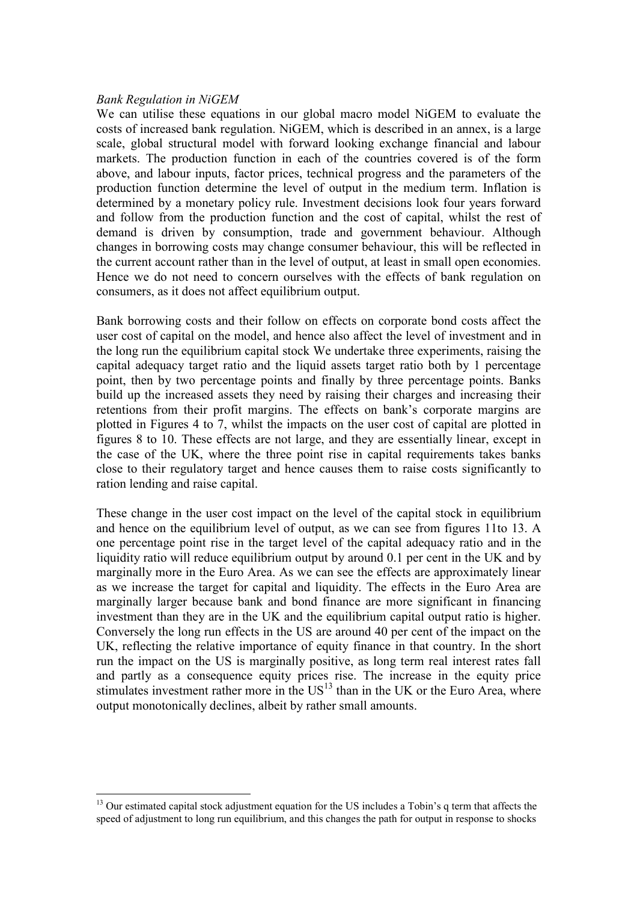## Bank Regulation in NiGEM

We can utilise these equations in our global macro model NiGEM to evaluate the costs of increased bank regulation. NiGEM, which is described in an annex, is a large scale, global structural model with forward looking exchange financial and labour markets. The production function in each of the countries covered is of the form above, and labour inputs, factor prices, technical progress and the parameters of the production function determine the level of output in the medium term. Inflation is determined by a monetary policy rule. Investment decisions look four years forward and follow from the production function and the cost of capital, whilst the rest of demand is driven by consumption, trade and government behaviour. Although changes in borrowing costs may change consumer behaviour, this will be reflected in the current account rather than in the level of output, at least in small open economies. Hence we do not need to concern ourselves with the effects of bank regulation on consumers, as it does not affect equilibrium output.

Bank borrowing costs and their follow on effects on corporate bond costs affect the user cost of capital on the model, and hence also affect the level of investment and in the long run the equilibrium capital stock We undertake three experiments, raising the capital adequacy target ratio and the liquid assets target ratio both by 1 percentage point, then by two percentage points and finally by three percentage points. Banks build up the increased assets they need by raising their charges and increasing their retentions from their profit margins. The effects on bank's corporate margins are plotted in Figures 4 to 7, whilst the impacts on the user cost of capital are plotted in figures 8 to 10. These effects are not large, and they are essentially linear, except in the case of the UK, where the three point rise in capital requirements takes banks close to their regulatory target and hence causes them to raise costs significantly to ration lending and raise capital.

These change in the user cost impact on the level of the capital stock in equilibrium and hence on the equilibrium level of output, as we can see from figures 11to 13. A one percentage point rise in the target level of the capital adequacy ratio and in the liquidity ratio will reduce equilibrium output by around 0.1 per cent in the UK and by marginally more in the Euro Area. As we can see the effects are approximately linear as we increase the target for capital and liquidity. The effects in the Euro Area are marginally larger because bank and bond finance are more significant in financing investment than they are in the UK and the equilibrium capital output ratio is higher. Conversely the long run effects in the US are around 40 per cent of the impact on the UK, reflecting the relative importance of equity finance in that country. In the short run the impact on the US is marginally positive, as long term real interest rates fall and partly as a consequence equity prices rise. The increase in the equity price stimulates investment rather more in the  $US<sup>13</sup>$  than in the UK or the Euro Area, where output monotonically declines, albeit by rather small amounts.

 $\overline{a}$ <sup>13</sup> Our estimated capital stock adjustment equation for the US includes a Tobin's q term that affects the speed of adjustment to long run equilibrium, and this changes the path for output in response to shocks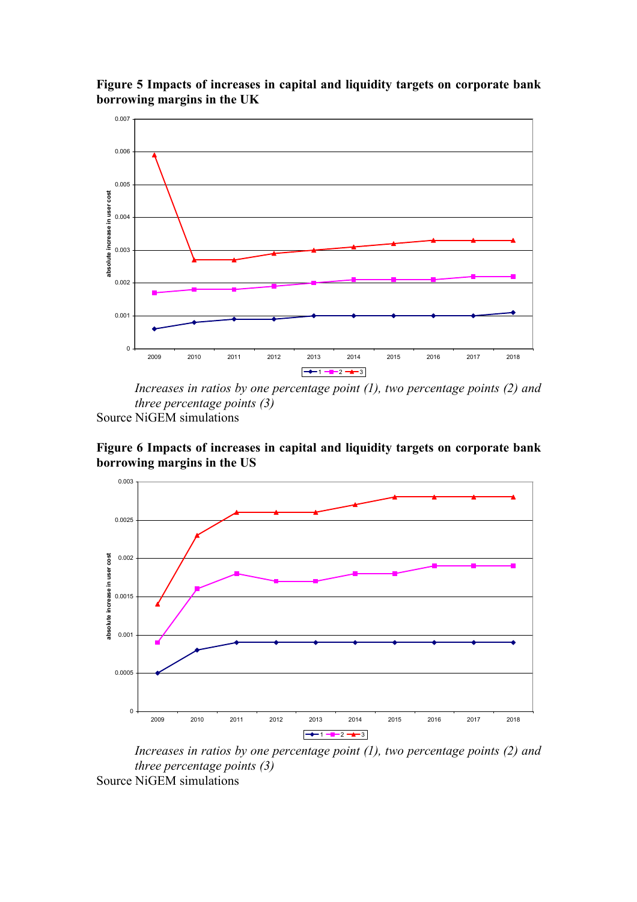

Figure 5 Impacts of increases in capital and liquidity targets on corporate bank borrowing margins in the UK

Increases in ratios by one percentage point (1), two percentage points (2) and three percentage points (3) Source NiGEM simulations

Figure 6 Impacts of increases in capital and liquidity targets on corporate bank borrowing margins in the US



Increases in ratios by one percentage point  $(1)$ , two percentage points  $(2)$  and three percentage points (3) Source NiGEM simulations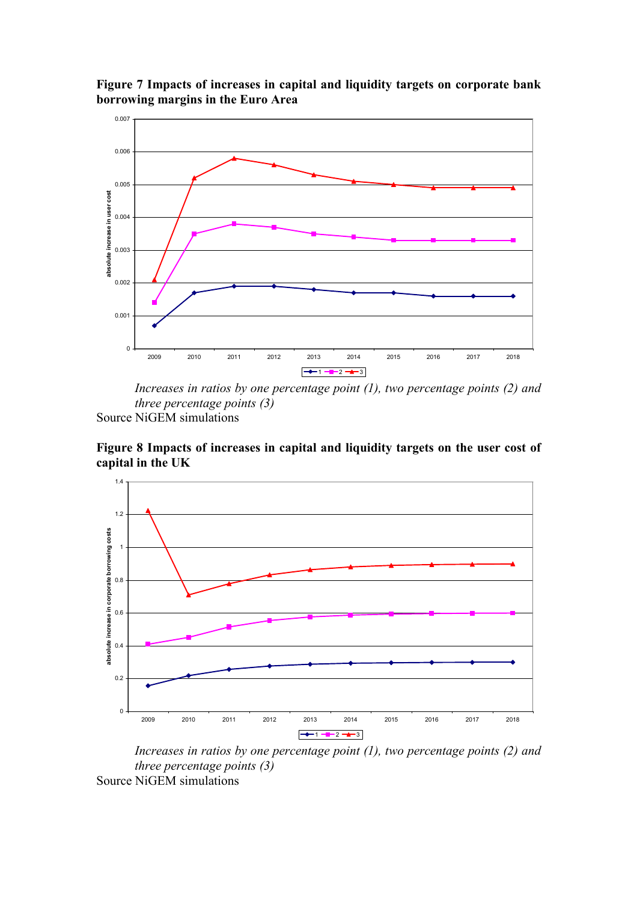



Increases in ratios by one percentage point (1), two percentage points (2) and three percentage points (3)

Source NiGEM simulations

Figure 8 Impacts of increases in capital and liquidity targets on the user cost of capital in the UK



Increases in ratios by one percentage point  $(1)$ , two percentage points  $(2)$  and three percentage points (3) Source NiGEM simulations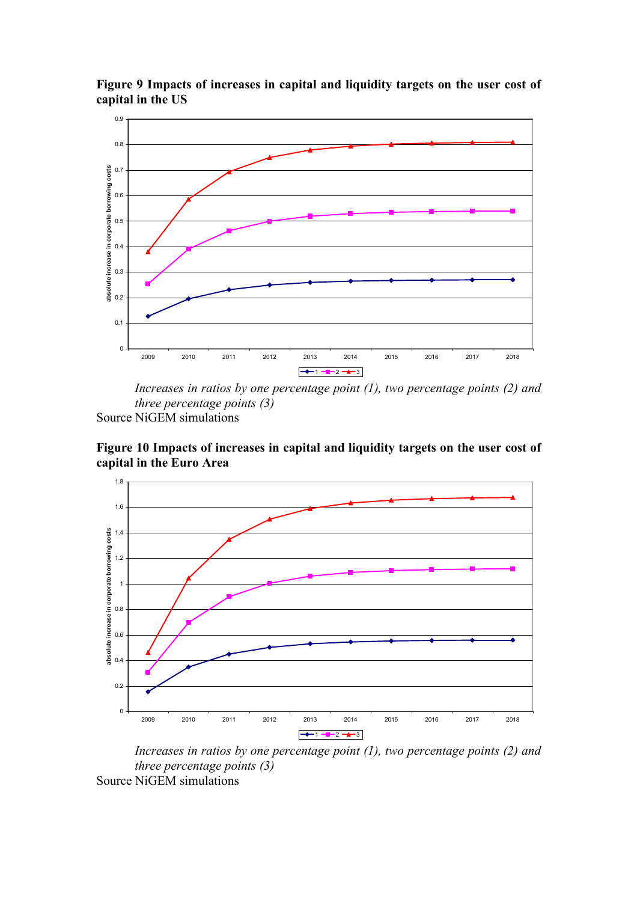

Figure 9 Impacts of increases in capital and liquidity targets on the user cost of capital in the US

Increases in ratios by one percentage point (1), two percentage points (2) and three percentage points (3)

Source NiGEM simulations

Figure 10 Impacts of increases in capital and liquidity targets on the user cost of capital in the Euro Area



Increases in ratios by one percentage point  $(1)$ , two percentage points  $(2)$  and three percentage points (3) Source NiGEM simulations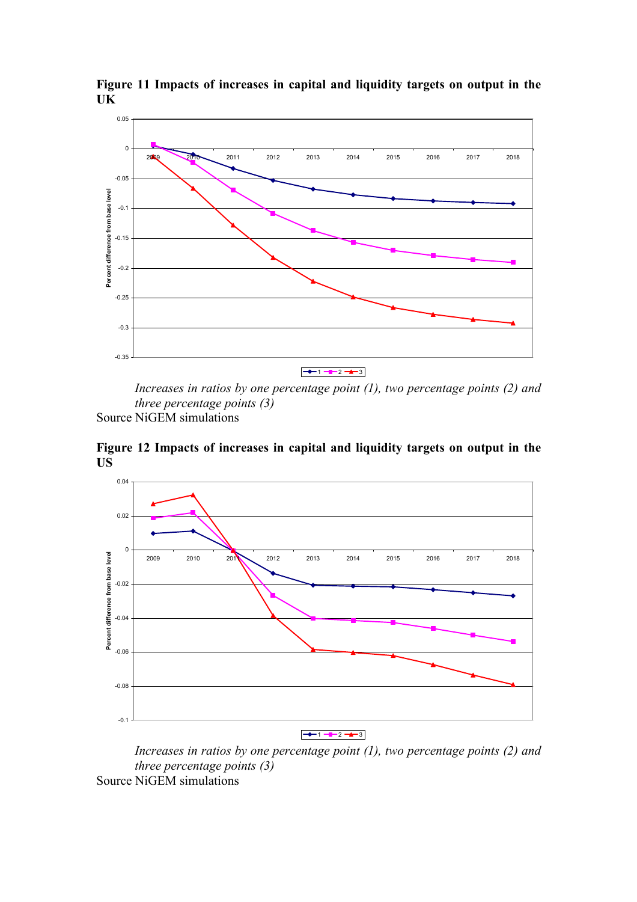

Figure 11 Impacts of increases in capital and liquidity targets on output in the UK

Increases in ratios by one percentage point  $(1)$ , two percentage points  $(2)$  and three percentage points (3)

Source NiGEM simulations

Figure 12 Impacts of increases in capital and liquidity targets on output in the US



Increases in ratios by one percentage point  $(1)$ , two percentage points  $(2)$  and three percentage points (3) Source NiGEM simulations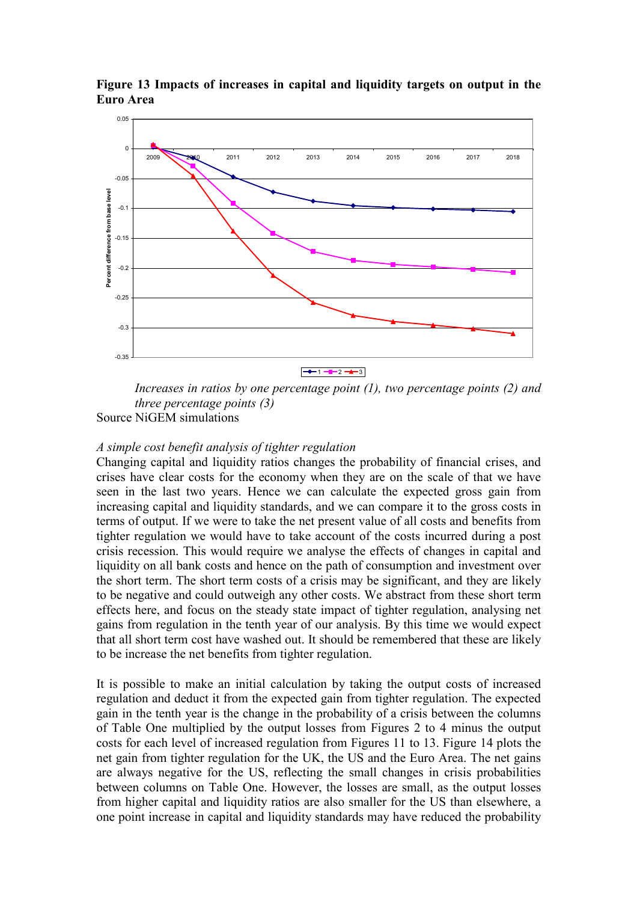

Figure 13 Impacts of increases in capital and liquidity targets on output in the Euro Area

Increases in ratios by one percentage point  $(1)$ , two percentage points  $(2)$  and three percentage points (3) Source NiGEM simulations

## A simple cost benefit analysis of tighter regulation

Changing capital and liquidity ratios changes the probability of financial crises, and crises have clear costs for the economy when they are on the scale of that we have seen in the last two years. Hence we can calculate the expected gross gain from increasing capital and liquidity standards, and we can compare it to the gross costs in terms of output. If we were to take the net present value of all costs and benefits from tighter regulation we would have to take account of the costs incurred during a post crisis recession. This would require we analyse the effects of changes in capital and liquidity on all bank costs and hence on the path of consumption and investment over the short term. The short term costs of a crisis may be significant, and they are likely to be negative and could outweigh any other costs. We abstract from these short term effects here, and focus on the steady state impact of tighter regulation, analysing net gains from regulation in the tenth year of our analysis. By this time we would expect that all short term cost have washed out. It should be remembered that these are likely to be increase the net benefits from tighter regulation.

It is possible to make an initial calculation by taking the output costs of increased regulation and deduct it from the expected gain from tighter regulation. The expected gain in the tenth year is the change in the probability of a crisis between the columns of Table One multiplied by the output losses from Figures 2 to 4 minus the output costs for each level of increased regulation from Figures 11 to 13. Figure 14 plots the net gain from tighter regulation for the UK, the US and the Euro Area. The net gains are always negative for the US, reflecting the small changes in crisis probabilities between columns on Table One. However, the losses are small, as the output losses from higher capital and liquidity ratios are also smaller for the US than elsewhere, a one point increase in capital and liquidity standards may have reduced the probability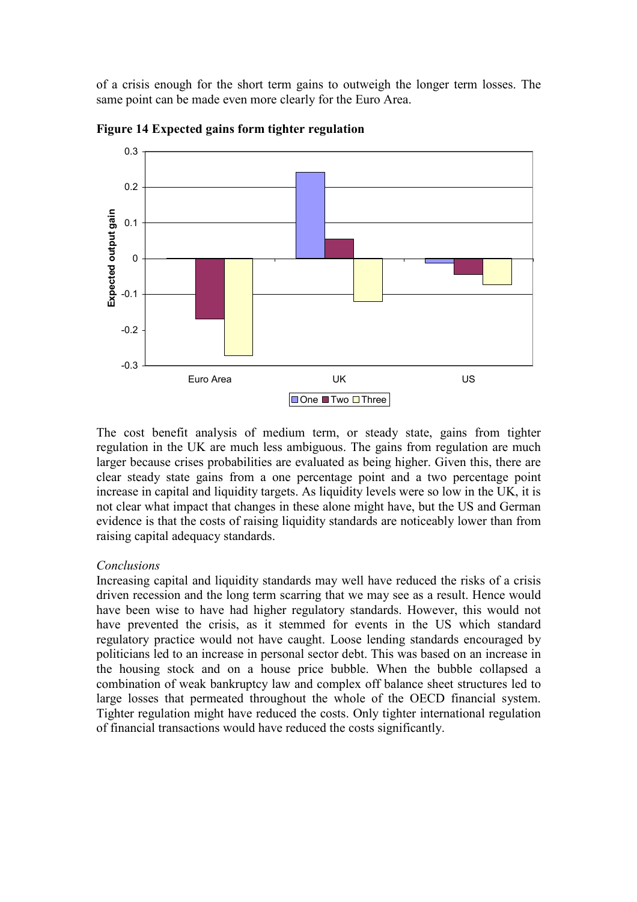of a crisis enough for the short term gains to outweigh the longer term losses. The same point can be made even more clearly for the Euro Area.



Figure 14 Expected gains form tighter regulation

The cost benefit analysis of medium term, or steady state, gains from tighter regulation in the UK are much less ambiguous. The gains from regulation are much larger because crises probabilities are evaluated as being higher. Given this, there are clear steady state gains from a one percentage point and a two percentage point increase in capital and liquidity targets. As liquidity levels were so low in the UK, it is not clear what impact that changes in these alone might have, but the US and German evidence is that the costs of raising liquidity standards are noticeably lower than from raising capital adequacy standards.

## Conclusions

Increasing capital and liquidity standards may well have reduced the risks of a crisis driven recession and the long term scarring that we may see as a result. Hence would have been wise to have had higher regulatory standards. However, this would not have prevented the crisis, as it stemmed for events in the US which standard regulatory practice would not have caught. Loose lending standards encouraged by politicians led to an increase in personal sector debt. This was based on an increase in the housing stock and on a house price bubble. When the bubble collapsed a combination of weak bankruptcy law and complex off balance sheet structures led to large losses that permeated throughout the whole of the OECD financial system. Tighter regulation might have reduced the costs. Only tighter international regulation of financial transactions would have reduced the costs significantly.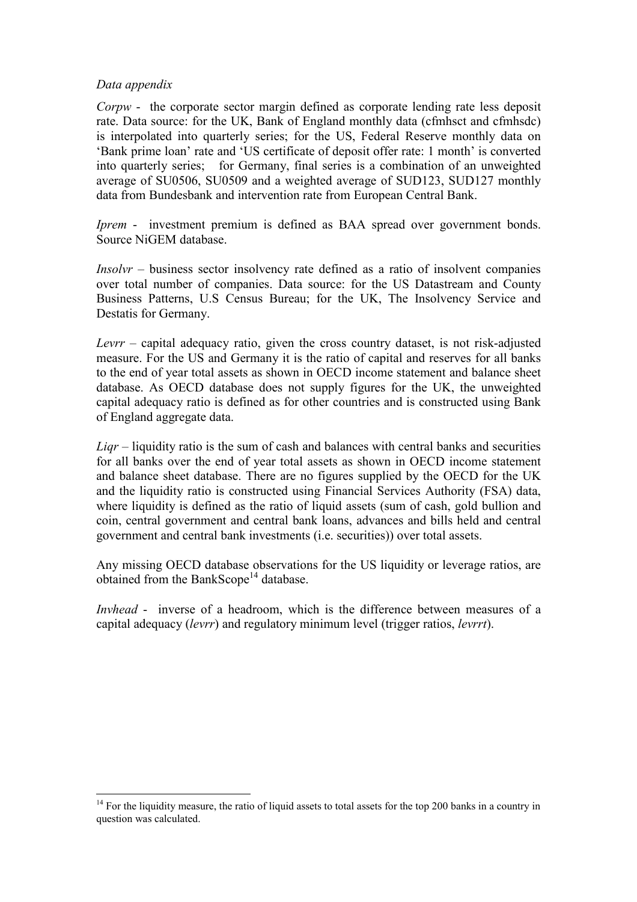## Data appendix

Corpw - the corporate sector margin defined as corporate lending rate less deposit rate. Data source: for the UK, Bank of England monthly data (cfmhsct and cfmhsdc) is interpolated into quarterly series; for the US, Federal Reserve monthly data on 'Bank prime loan' rate and 'US certificate of deposit offer rate: 1 month' is converted into quarterly series; for Germany, final series is a combination of an unweighted average of SU0506, SU0509 and a weighted average of SUD123, SUD127 monthly data from Bundesbank and intervention rate from European Central Bank.

Iprem - investment premium is defined as BAA spread over government bonds. Source NiGEM database.

Insolvr – business sector insolvency rate defined as a ratio of insolvent companies over total number of companies. Data source: for the US Datastream and County Business Patterns, U.S Census Bureau; for the UK, The Insolvency Service and Destatis for Germany.

Levrr – capital adequacy ratio, given the cross country dataset, is not risk-adjusted measure. For the US and Germany it is the ratio of capital and reserves for all banks to the end of year total assets as shown in OECD income statement and balance sheet database. As OECD database does not supply figures for the UK, the unweighted capital adequacy ratio is defined as for other countries and is constructed using Bank of England aggregate data.

 $Ligr$  – liquidity ratio is the sum of cash and balances with central banks and securities for all banks over the end of year total assets as shown in OECD income statement and balance sheet database. There are no figures supplied by the OECD for the UK and the liquidity ratio is constructed using Financial Services Authority (FSA) data, where liquidity is defined as the ratio of liquid assets (sum of cash, gold bullion and coin, central government and central bank loans, advances and bills held and central government and central bank investments (i.e. securities)) over total assets.

Any missing OECD database observations for the US liquidity or leverage ratios, are obtained from the BankScope<sup>14</sup> database.

Invhead - inverse of a headroom, which is the difference between measures of a capital adequacy (levrr) and regulatory minimum level (trigger ratios, levrrt).

 $\overline{a}$ <sup>14</sup> For the liquidity measure, the ratio of liquid assets to total assets for the top 200 banks in a country in question was calculated.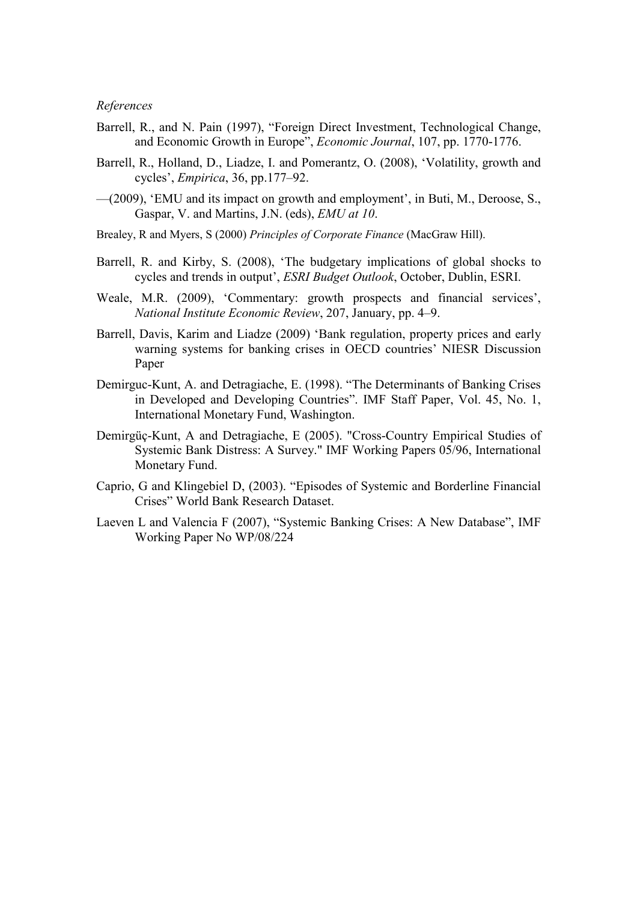## References

- Barrell, R., and N. Pain (1997), "Foreign Direct Investment, Technological Change, and Economic Growth in Europe", Economic Journal, 107, pp. 1770-1776.
- Barrell, R., Holland, D., Liadze, I. and Pomerantz, O. (2008), 'Volatility, growth and cycles', Empirica, 36, pp.177–92.
- —(2009), 'EMU and its impact on growth and employment', in Buti, M., Deroose, S., Gaspar, V. and Martins, J.N. (eds), EMU at 10.
- Brealey, R and Myers, S (2000) Principles of Corporate Finance (MacGraw Hill).
- Barrell, R. and Kirby, S. (2008), 'The budgetary implications of global shocks to cycles and trends in output', ESRI Budget Outlook, October, Dublin, ESRI.
- Weale, M.R. (2009), 'Commentary: growth prospects and financial services', National Institute Economic Review, 207, January, pp. 4–9.
- Barrell, Davis, Karim and Liadze (2009) 'Bank regulation, property prices and early warning systems for banking crises in OECD countries' NIESR Discussion Paper
- Demirguc-Kunt, A. and Detragiache, E. (1998). "The Determinants of Banking Crises in Developed and Developing Countries". IMF Staff Paper, Vol. 45, No. 1, International Monetary Fund, Washington.
- Demirgüç-Kunt, A and Detragiache, E (2005). "Cross-Country Empirical Studies of Systemic Bank Distress: A Survey." IMF Working Papers 05/96, International Monetary Fund.
- Caprio, G and Klingebiel D, (2003). "Episodes of Systemic and Borderline Financial Crises" World Bank Research Dataset.
- Laeven L and Valencia F (2007), "Systemic Banking Crises: A New Database", IMF Working Paper No WP/08/224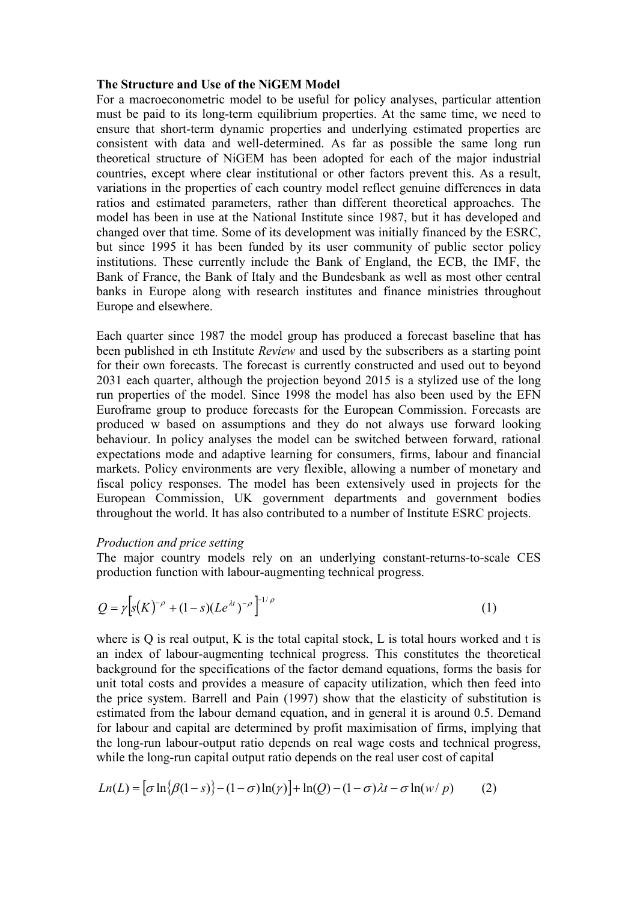#### The Structure and Use of the NiGEM Model

For a macroeconometric model to be useful for policy analyses, particular attention must be paid to its long-term equilibrium properties. At the same time, we need to ensure that short-term dynamic properties and underlying estimated properties are consistent with data and well-determined. As far as possible the same long run theoretical structure of NiGEM has been adopted for each of the major industrial countries, except where clear institutional or other factors prevent this. As a result, variations in the properties of each country model reflect genuine differences in data ratios and estimated parameters, rather than different theoretical approaches. The model has been in use at the National Institute since 1987, but it has developed and changed over that time. Some of its development was initially financed by the ESRC, but since 1995 it has been funded by its user community of public sector policy institutions. These currently include the Bank of England, the ECB, the IMF, the Bank of France, the Bank of Italy and the Bundesbank as well as most other central banks in Europe along with research institutes and finance ministries throughout Europe and elsewhere.

Each quarter since 1987 the model group has produced a forecast baseline that has been published in eth Institute Review and used by the subscribers as a starting point for their own forecasts. The forecast is currently constructed and used out to beyond 2031 each quarter, although the projection beyond 2015 is a stylized use of the long run properties of the model. Since 1998 the model has also been used by the EFN Euroframe group to produce forecasts for the European Commission. Forecasts are produced w based on assumptions and they do not always use forward looking behaviour. In policy analyses the model can be switched between forward, rational expectations mode and adaptive learning for consumers, firms, labour and financial markets. Policy environments are very flexible, allowing a number of monetary and fiscal policy responses. The model has been extensively used in projects for the European Commission, UK government departments and government bodies throughout the world. It has also contributed to a number of Institute ESRC projects.

### Production and price setting

The major country models rely on an underlying constant-returns-to-scale CES production function with labour-augmenting technical progress.

$$
Q = \gamma \Big[ s(K)^{-\rho} + (1-s)(Le^{\lambda t})^{-\rho} \Big]^{1/\rho} \tag{1}
$$

where is  $O$  is real output,  $K$  is the total capital stock,  $L$  is total hours worked and t is an index of labour-augmenting technical progress. This constitutes the theoretical background for the specifications of the factor demand equations, forms the basis for unit total costs and provides a measure of capacity utilization, which then feed into the price system. Barrell and Pain (1997) show that the elasticity of substitution is estimated from the labour demand equation, and in general it is around 0.5. Demand for labour and capital are determined by profit maximisation of firms, implying that the long-run labour-output ratio depends on real wage costs and technical progress, while the long-run capital output ratio depends on the real user cost of capital

$$
Ln(L) = \left[\sigma \ln{\lbrace \beta(1-s) \rbrace} - (1-\sigma) \ln(\gamma)\right] + \ln(Q) - (1-\sigma)\lambda t - \sigma \ln(w/p) \tag{2}
$$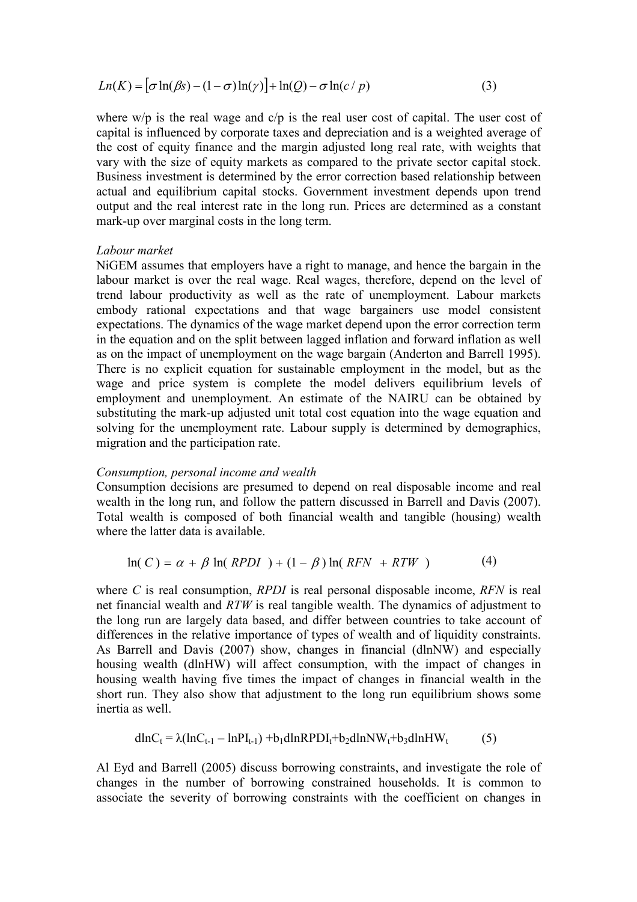$$
Ln(K) = [\sigma ln(\beta s) - (1 - \sigma) ln(\gamma)] + ln(Q) - \sigma ln(c/p)
$$
\n(3)

where w/p is the real wage and c/p is the real user cost of capital. The user cost of capital is influenced by corporate taxes and depreciation and is a weighted average of the cost of equity finance and the margin adjusted long real rate, with weights that vary with the size of equity markets as compared to the private sector capital stock. Business investment is determined by the error correction based relationship between actual and equilibrium capital stocks. Government investment depends upon trend output and the real interest rate in the long run. Prices are determined as a constant mark-up over marginal costs in the long term.

## Labour market

NiGEM assumes that employers have a right to manage, and hence the bargain in the labour market is over the real wage. Real wages, therefore, depend on the level of trend labour productivity as well as the rate of unemployment. Labour markets embody rational expectations and that wage bargainers use model consistent expectations. The dynamics of the wage market depend upon the error correction term in the equation and on the split between lagged inflation and forward inflation as well as on the impact of unemployment on the wage bargain (Anderton and Barrell 1995). There is no explicit equation for sustainable employment in the model, but as the wage and price system is complete the model delivers equilibrium levels of employment and unemployment. An estimate of the NAIRU can be obtained by substituting the mark-up adjusted unit total cost equation into the wage equation and solving for the unemployment rate. Labour supply is determined by demographics, migration and the participation rate.

### Consumption, personal income and wealth

Consumption decisions are presumed to depend on real disposable income and real wealth in the long run, and follow the pattern discussed in Barrell and Davis (2007). Total wealth is composed of both financial wealth and tangible (housing) wealth where the latter data is available.

$$
\ln(C) = \alpha + \beta \ln(RPDI) + (1 - \beta) \ln(RFN + RTW) \tag{4}
$$

where  $C$  is real consumption,  $RPDI$  is real personal disposable income,  $RFN$  is real net financial wealth and RTW is real tangible wealth. The dynamics of adjustment to the long run are largely data based, and differ between countries to take account of differences in the relative importance of types of wealth and of liquidity constraints. As Barrell and Davis (2007) show, changes in financial (dlnNW) and especially housing wealth (dlnHW) will affect consumption, with the impact of changes in housing wealth having five times the impact of changes in financial wealth in the short run. They also show that adjustment to the long run equilibrium shows some inertia as well.

$$
\mathrm{dln}C_{t} = \lambda(\mathrm{ln}C_{t-1} - \mathrm{ln}P_{t-1}) + b_1 \mathrm{dln}RPDI_{t} + b_2 \mathrm{dln}NW_{t} + b_3 \mathrm{dln}HW_{t} \tag{5}
$$

Al Eyd and Barrell (2005) discuss borrowing constraints, and investigate the role of changes in the number of borrowing constrained households. It is common to associate the severity of borrowing constraints with the coefficient on changes in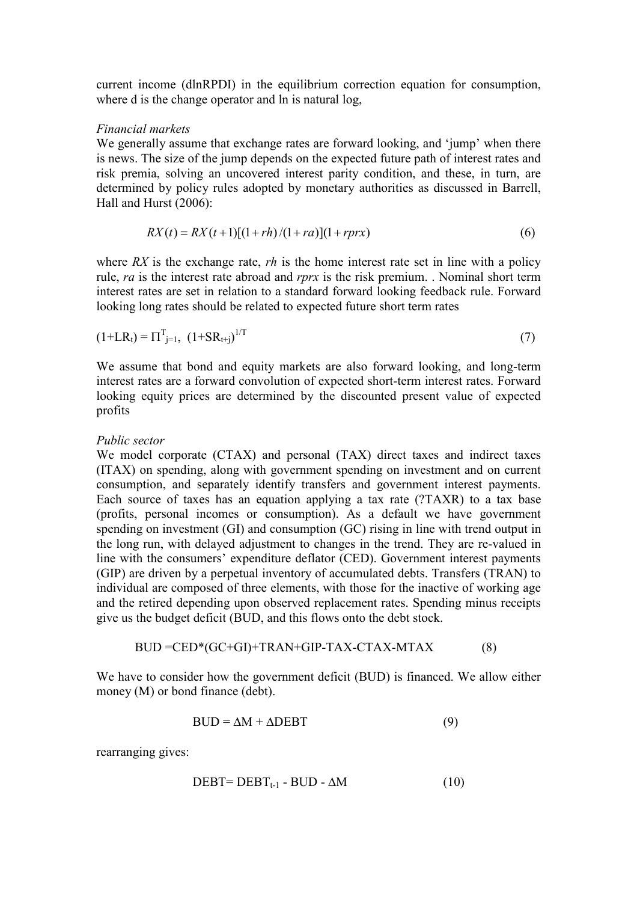current income (dlnRPDI) in the equilibrium correction equation for consumption, where d is the change operator and ln is natural log,

## Financial markets

We generally assume that exchange rates are forward looking, and 'jump' when there is news. The size of the jump depends on the expected future path of interest rates and risk premia, solving an uncovered interest parity condition, and these, in turn, are determined by policy rules adopted by monetary authorities as discussed in Barrell, Hall and Hurst (2006):

$$
RX(t) = RX(t+1)[(1+rh)/(1+ra)](1+rprx)
$$
\n(6)

where RX is the exchange rate,  $rh$  is the home interest rate set in line with a policy rule, ra is the interest rate abroad and rprx is the risk premium. . Nominal short term interest rates are set in relation to a standard forward looking feedback rule. Forward looking long rates should be related to expected future short term rates

$$
(1+LR_t) = \Pi_{j=1}^T, (1+SR_{t+j})^{1/T}
$$
\n(7)

We assume that bond and equity markets are also forward looking, and long-term interest rates are a forward convolution of expected short-term interest rates. Forward looking equity prices are determined by the discounted present value of expected profits

## Public sector

We model corporate (CTAX) and personal (TAX) direct taxes and indirect taxes (ITAX) on spending, along with government spending on investment and on current consumption, and separately identify transfers and government interest payments. Each source of taxes has an equation applying a tax rate (?TAXR) to a tax base (profits, personal incomes or consumption). As a default we have government spending on investment (GI) and consumption (GC) rising in line with trend output in the long run, with delayed adjustment to changes in the trend. They are re-valued in line with the consumers' expenditure deflator (CED). Government interest payments (GIP) are driven by a perpetual inventory of accumulated debts. Transfers (TRAN) to individual are composed of three elements, with those for the inactive of working age and the retired depending upon observed replacement rates. Spending minus receipts give us the budget deficit (BUD, and this flows onto the debt stock.

$$
BUD = CED*(GC+GI) + TRAN + GIP-TAX - CTAX - MTAX
$$
 (8)

We have to consider how the government deficit (BUD) is financed. We allow either money (M) or bond finance (debt).

$$
BUD = \Delta M + \Delta DEBT
$$
 (9)

rearranging gives:

$$
DEBT = DEBT_{t-1} - BUD - \Delta M \tag{10}
$$